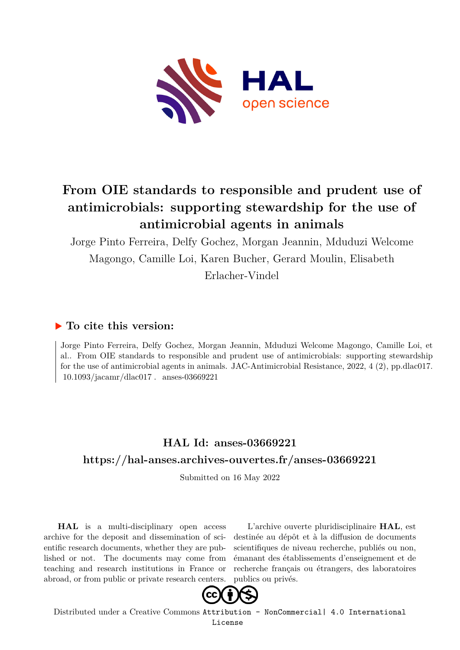

# **From OIE standards to responsible and prudent use of antimicrobials: supporting stewardship for the use of antimicrobial agents in animals**

Jorge Pinto Ferreira, Delfy Gochez, Morgan Jeannin, Mduduzi Welcome Magongo, Camille Loi, Karen Bucher, Gerard Moulin, Elisabeth Erlacher-Vindel

## **To cite this version:**

Jorge Pinto Ferreira, Delfy Gochez, Morgan Jeannin, Mduduzi Welcome Magongo, Camille Loi, et al.. From OIE standards to responsible and prudent use of antimicrobials: supporting stewardship for the use of antimicrobial agents in animals. JAC-Antimicrobial Resistance, 2022, 4 (2), pp.dlac017.  $10.1093/iacamr/dlac017$ . anses-03669221

## **HAL Id: anses-03669221 <https://hal-anses.archives-ouvertes.fr/anses-03669221>**

Submitted on 16 May 2022

**HAL** is a multi-disciplinary open access archive for the deposit and dissemination of scientific research documents, whether they are published or not. The documents may come from teaching and research institutions in France or abroad, or from public or private research centers.

L'archive ouverte pluridisciplinaire **HAL**, est destinée au dépôt et à la diffusion de documents scientifiques de niveau recherche, publiés ou non, émanant des établissements d'enseignement et de recherche français ou étrangers, des laboratoires publics ou privés.



Distributed under a Creative Commons [Attribution - NonCommercial| 4.0 International](http://creativecommons.org/licenses/by-nc/4.0/) [License](http://creativecommons.org/licenses/by-nc/4.0/)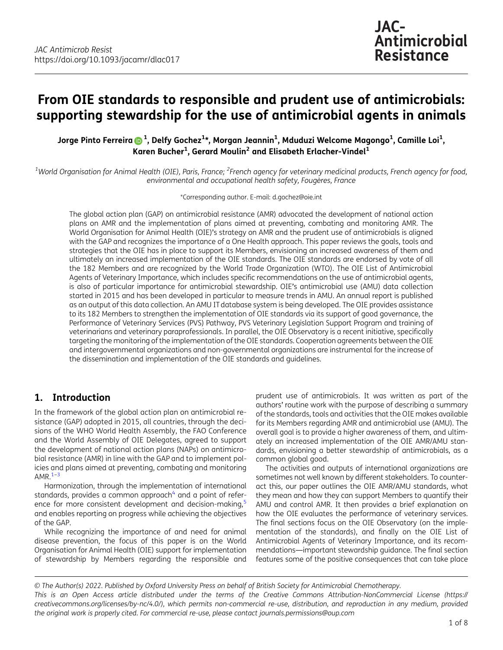## From OIE standards to responsible and prudent use of antimicrobials: supporting stewardship for the use of antimicrobial agents in animals

Jorge Pinto Ferreira ����  $^1$ , Delfy Gochez $^{1\star}$ , Morgan Jeannin $^1$ , Mduduzi Welcome Magongo $^1$ , Camille Loi $^1$ , Karen Bucher $^1$ , Gerard Moulin $^2$  and Elisabeth Erlacher-Vindel $^1$ 

 $^{\rm 1}$ World Organisation for Animal Health (OIE), Paris, France; <sup>2</sup>French agency for veterinary medicinal products, French agency for food, environmental and occupational health safety, Fougères, France

\*Corresponding author. E-mail: [d.gochez@oie.int](mailto:d.gochez@oie.int)

The global action plan (GAP) on antimicrobial resistance (AMR) advocated the development of national action plans on AMR and the implementation of plans aimed at preventing, combating and monitoring AMR. The World Organisation for Animal Health (OIE)'s strategy on AMR and the prudent use of antimicrobials is aligned with the GAP and recognizes the importance of a One Health approach. This paper reviews the goals, tools and strategies that the OIE has in place to support its Members, envisioning an increased awareness of them and ultimately an increased implementation of the OIE standards. The OIE standards are endorsed by vote of all the 182 Members and are recognized by the World Trade Organization (WTO). The OIE List of Antimicrobial Agents of Veterinary Importance, which includes specific recommendations on the use of antimicrobial agents, is also of particular importance for antimicrobial stewardship. OIE's antimicrobial use (AMU) data collection started in 2015 and has been developed in particular to measure trends in AMU. An annual report is published as an output of this data collection. An AMU IT database system is being developed. The OIE provides assistance to its 182 Members to strengthen the implementation of OIE standards via its support of good governance, the Performance of Veterinary Services (PVS) Pathway, PVS Veterinary Legislation Support Program and training of veterinarians and veterinary paraprofessionals. In parallel, the OIE Observatory is a recent initiative, specifically targeting the monitoring of the implementation of the OIE standards. Cooperation agreements between the OIE and intergovernmental organizations and non-governmental organizations are instrumental for the increase of the dissemination and implementation of the OIE standards and guidelines.

## 1. Introduction

In the framework of the global action plan on antimicrobial resistance (GAP) adopted in 2015, all countries, through the decisions of the WHO World Health Assembly, the FAO Conference and the World Assembly of OIE Delegates, agreed to support the development of national action plans (NAPs) on antimicrobial resistance (AMR) in line with the GAP and to implement policies and plans aimed at preventing, combating and monitoring AMR $^{1-3}$ 

Harmonization, through the implementation of international standards, provides a common approach $4$  and a point of reference for more consistent development and decision-making,<sup>5</sup> and enables reporting on progress while achieving the objectives of the GAP.

While recognizing the importance of and need for animal disease prevention, the focus of this paper is on the World Organisation for Animal Health (OIE) support for implementation of stewardship by Members regarding the responsible and

prudent use of antimicrobials. It was written as part of the authors' routine work with the purpose of describing a summary of the standards, tools and activities that the OIE makes available for its Members regarding AMR and antimicrobial use (AMU). The overall goal is to provide a higher awareness of them, and ultimately an increased implementation of the OIE AMR/AMU standards, envisioning a better stewardship of antimicrobials, as a common global good.

The activities and outputs of international organizations are sometimes not well known by different stakeholders. To counteract this, our paper outlines the OIE AMR/AMU standards, what they mean and how they can support Members to quantify their AMU and control AMR. It then provides a brief explanation on how the OIE evaluates the performance of veterinary services. The final sections focus on the OIE Observatory (on the implementation of the standards), and finally on the OIE List of Antimicrobial Agents of Veterinary Importance, and its recommendations—important stewardship guidance. The final section features some of the positive consequences that can take place

© The Author(s) 2022. Published by Oxford University Press on behalf of British Society for Antimicrobial Chemotherapy. This is an Open Access article distributed under the terms of the Creative Commons Attribution-NonCommercial License ([https://](https://creativecommons.org/licenses/by-nc/4.0/) [creativecommons.org/licenses/by-nc/4.0/\)](https://creativecommons.org/licenses/by-nc/4.0/), which permits non-commercial re-use, distribution, and reproduction in any medium, provided the original work is properly cited. For commercial re-use, please contact journals.permissions@oup.com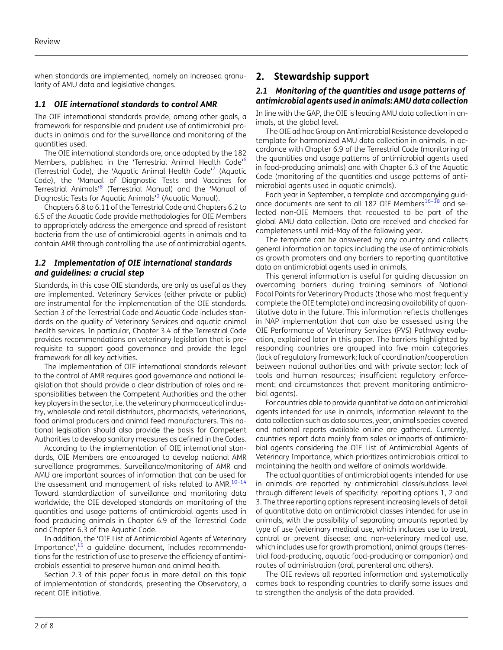when standards are implemented, namely an increased granularity of AMU data and legislative changes.

#### 1.1 OIE international standards to control AMR

The OIE international standards provide, among other goals, a framework for responsible and prudent use of antimicrobial products in animals and for the surveillance and monitoring of the quantities used.

The OIE international standards are, once adopted by the 182 Members, published in the 'Terrestrial Animal Health Code'<sup>6</sup> (Terrestrial Code), the 'Aquatic Animal Health Code' <sup>7</sup> (Aquatic Code), the 'Manual of Diagnostic Tests and Vaccines for Terrestrial Animals' <sup>8</sup> (Terrestrial Manual) and the 'Manual of Diagnostic Tests for Aquatic Animals' <sup>9</sup> (Aquatic Manual).

Chapters 6.8 to 6.11 of the Terrestrial Code and Chapters 6.2 to 6.5 of the Aquatic Code provide methodologies for OIE Members to appropriately address the emergence and spread of resistant bacteria from the use of antimicrobial agents in animals and to contain AMR through controlling the use of antimicrobial agents.

#### 1.2 Implementation of OIE international standards and guidelines: a crucial step

Standards, in this case OIE standards, are only as useful as they are implemented. Veterinary Services (either private or public) are instrumental for the implementation of the OIE standards. Section 3 of the Terrestrial Code and Aquatic Code includes standards on the quality of Veterinary Services and aquatic animal health services. In particular, Chapter 3.4 of the Terrestrial Code provides recommendations on veterinary legislation that is prerequisite to support good governance and provide the legal framework for all key activities.

The implementation of OIE international standards relevant to the control of AMR requires good governance and national legislation that should provide a clear distribution of roles and responsibilities between the Competent Authorities and the other key players in the sector, i.e. the veterinary pharmaceutical industry, wholesale and retail distributors, pharmacists, veterinarians, food animal producers and animal feed manufacturers. This national legislation should also provide the basis for Competent Authorities to develop sanitary measures as defined in the Codes.

According to the implementation of OIE international standards, OIE Members are encouraged to develop national AMR surveillance programmes. Surveillance/monitoring of AMR and AMU are important sources of information that can be used for the assessment and management of risks related to AMR.<sup>10-14</sup> Toward standardization of surveillance and monitoring data worldwide, the OIE developed standards on monitoring of the quantities and usage patterns of antimicrobial agents used in food producing animals in Chapter 6.9 of the Terrestrial Code and Chapter 6.3 of the Aquatic Code.

In addition, the 'OIE List of Antimicrobial Agents of Veterinary Importance', <sup>15</sup> a guideline document, includes recommendations for the restriction of use to preserve the efficiency of antimicrobials essential to preserve human and animal health.

Section 2.3 of this paper focus in more detail on this topic of implementation of standards, presenting the Observatory, a recent OIE initiative.

## 2. Stewardship support

#### 2.1 Monitoring of the quantities and usage patterns of antimicrobial agents used in animals: AMU data collection

In line with the GAP, the OIE is leading AMU data collection in animals, at the global level.

The OIE ad hoc Group on Antimicrobial Resistance developed a template for harmonized AMU data collection in animals, in accordance with Chapter 6.9 of the Terrestrial Code (monitoring of the quantities and usage patterns of antimicrobial agents used in food-producing animals) and with Chapter 6.3 of the Aquatic Code (monitoring of the quantities and usage patterns of antimicrobial agents used in aquatic animals).

Each year in September, a template and accompanying guidance documents are sent to all 182 OIE Members<sup>16-18</sup> and selected non-OIE Members that requested to be part of the global AMU data collection. Data are received and checked for completeness until mid-May of the following year.

The template can be answered by any country and collects general information on topics including the use of antimicrobials as growth promoters and any barriers to reporting quantitative data on antimicrobial agents used in animals.

This general information is useful for guiding discussion on overcoming barriers during training seminars of National Focal Points for Veterinary Products (those who most frequently complete the OIE template) and increasing availability of quantitative data in the future. This information reflects challenges in NAP implementation that can also be assessed using the OIE Performance of Veterinary Services (PVS) Pathway evaluation, explained later in this paper. The barriers highlighted by responding countries are grouped into five main categories (lack of regulatory framework; lack of coordination/cooperation between national authorities and with private sector; lack of tools and human resources; insufficient regulatory enforcement; and circumstances that prevent monitoring antimicrobial agents).

For countries able to provide quantitative data on antimicrobial agents intended for use in animals, information relevant to the data collection such as data sources, year, animal species covered and national reports available online are gathered. Currently, countries report data mainly from sales or imports of antimicrobial agents considering the OIE List of Antimicrobial Agents of Veterinary Importance, which prioritizes antimicrobials critical to maintaining the health and welfare of animals worldwide.

The actual quantities of antimicrobial agents intended for use in animals are reported by antimicrobial class/subclass level through different levels of specificity: reporting options 1, 2 and 3. The three reporting options represent increasing levels of detail of quantitative data on antimicrobial classes intended for use in animals, with the possibility of separating amounts reported by type of use (veterinary medical use, which includes use to treat, control or prevent disease; and non-veterinary medical use, which includes use for growth promotion), animal groups (terrestrial food-producing, aquatic food-producing or companion) and routes of administration (oral, parenteral and others).

The OIE reviews all reported information and systematically comes back to responding countries to clarify some issues and to strengthen the analysis of the data provided.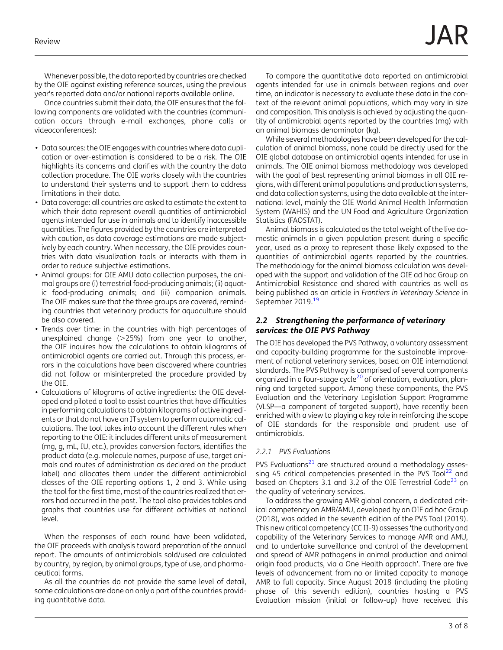Whenever possible, the data reported by countries are checked by the OIE against existing reference sources, using the previous year's reported data and/or national reports available online.

Once countries submit their data, the OIE ensures that the following components are validated with the countries (communication occurs through e-mail exchanges, phone calls or videoconferences):

- Data sources: the OIE engages with countries where data duplication or over-estimation is considered to be a risk. The OIE highlights its concerns and clarifies with the country the data collection procedure. The OIE works closely with the countries to understand their systems and to support them to address limitations in their data.
- Data coverage: all countries are asked to estimate the extent to which their data represent overall quantities of antimicrobial agents intended for use in animals and to identify inaccessible quantities. The figures provided by the countries are interpreted with caution, as data coverage estimations are made subjectively by each country. When necessary, the OIE provides countries with data visualization tools or interacts with them in order to reduce subjective estimations.
- Animal groups: for OIE AMU data collection purposes, the animal groups are (i) terrestrial food-producing animals; (ii) aquatic food-producing animals; and (iii) companion animals. The OIE makes sure that the three groups are covered, reminding countries that veterinary products for aquaculture should be also covered.
- Trends over time: in the countries with high percentages of unexplained change  $(>25%)$  from one year to another, the OIE inquires how the calculations to obtain kilograms of antimicrobial agents are carried out. Through this process, errors in the calculations have been discovered where countries did not follow or misinterpreted the procedure provided by the OIE.
- Calculations of kilograms of active ingredients: the OIE developed and piloted a tool to assist countries that have difficulties in performing calculations to obtain kilograms of active ingredients or that do not have an IT system to perform automatic calculations. The tool takes into account the different rules when reporting to the OIE: it includes different units of measurement (mg, g, mL, IU, etc.), provides conversion factors, identifies the product data (e.g. molecule names, purpose of use, target animals and routes of administration as declared on the product label) and allocates them under the different antimicrobial classes of the OIE reporting options 1, 2 and 3. While using the tool for the first time, most of the countries realized that errors had occurred in the past. The tool also provides tables and graphs that countries use for different activities at national level.

When the responses of each round have been validated, the OIE proceeds with analysis toward preparation of the annual report. The amounts of antimicrobials sold/used are calculated by country, by region, by animal groups, type of use, and pharmaceutical forms.

As all the countries do not provide the same level of detail, some calculations are done on only a part of the countries providing quantitative data.

To compare the quantitative data reported on antimicrobial agents intended for use in animals between regions and over time, an indicator is necessary to evaluate these data in the context of the relevant animal populations, which may vary in size and composition. This analysis is achieved by adjusting the quantity of antimicrobial agents reported by the countries (mg) with an animal biomass denominator (kg).

While several methodologies have been developed for the calculation of animal biomass, none could be directly used for the OIE global database on antimicrobial agents intended for use in animals. The OIE animal biomass methodology was developed with the goal of best representing animal biomass in all OIE regions, with different animal populations and production systems, and data collection systems, using the data available at the international level, mainly the OIE World Animal Health Information System (WAHIS) and the UN Food and Agriculture Organization Statistics (FAOSTAT).

Animal biomass is calculated as the total weight of the live domestic animals in a given population present during a specific year, used as a proxy to represent those likely exposed to the quantities of antimicrobial agents reported by the countries. The methodology for the animal biomass calculation was developed with the support and validation of the OIE ad hoc Group on Antimicrobial Resistance and shared with countries as well as being published as an article in Frontiers in Veterinary Science in September 2019.<sup>19</sup>

#### 2.2 Strengthening the performance of veterinary services: the OIE PVS Pathway

The OIE has developed the PVS Pathway, a voluntary assessment and capacity-building programme for the sustainable improvement of national veterinary services, based on OIE international standards. The PVS Pathway is comprised of several components organized in a four-stage cycle<sup>20</sup> of orientation, evaluation, planning and targeted support. Among these components, the PVS Evaluation and the Veterinary Legislation Support Programme (VLSP—a component of targeted support), have recently been enriched with a view to playing a key role in reinforcing the scope of OIE standards for the responsible and prudent use of antimicrobials.

#### 2.2.1 PVS Evaluations

PVS Evaluations $^{21}$  are structured around a methodology assessing 45 critical competencies presented in the PVS Tool $^{22}$  and based on Chapters 3.1 and 3.2 of the OIE Terrestrial Code<sup>23</sup> on the quality of veterinary services.

To address the growing AMR global concern, a dedicated critical competency on AMR/AMU, developed by an OIE ad hoc Group (2018), was added in the seventh edition of the PVS Tool (2019). This new critical competency (CC II-9) assesses 'the authority and capability of the Veterinary Services to manage AMR and AMU, and to undertake surveillance and control of the development and spread of AMR pathogens in animal production and animal origin food products, via a One Health approach'. There are five levels of advancement from no or limited capacity to manage AMR to full capacity. Since August 2018 (including the piloting phase of this seventh edition), countries hosting a PVS Evaluation mission (initial or follow-up) have received this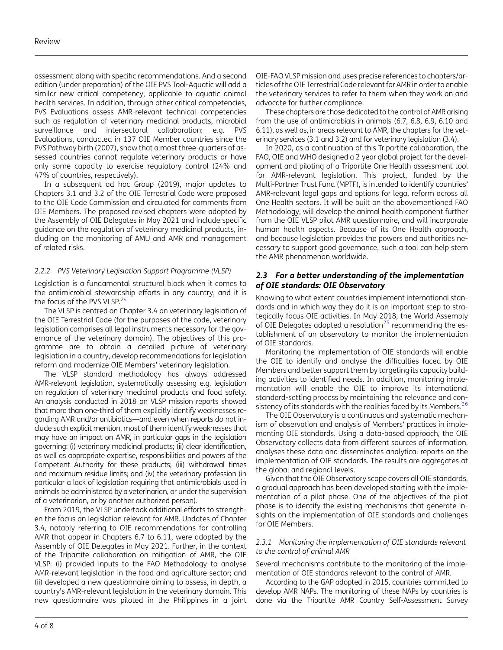assessment along with specific recommendations. And a second edition (under preparation) of the OIE PVS Tool-Aquatic will add a similar new critical competency, applicable to aquatic animal health services. In addition, through other critical competencies, PVS Evaluations assess AMR-relevant technical competencies such as regulation of veterinary medicinal products, microbial surveillance and intersectoral collaboration: e.g. PVS Evaluations, conducted in 137 OIE Member countries since the PVS Pathway birth (2007), show that almost three-quarters of assessed countries cannot regulate veterinary products or have only some capacity to exercise regulatory control (24% and 47% of countries, respectively).

In a subsequent ad hoc Group (2019), major updates to Chapters 3.1 and 3.2 of the OIE Terrestrial Code were proposed to the OIE Code Commission and circulated for comments from OIE Members. The proposed revised chapters were adopted by the Assembly of OIE Delegates in May 2021 and include specific guidance on the regulation of veterinary medicinal products, including on the monitoring of AMU and AMR and management of related risks.

#### 2.2.2 PVS Veterinary Legislation Support Programme (VLSP)

Legislation is a fundamental structural block when it comes to the antimicrobial stewardship efforts in any country, and it is the focus of the PVS VLSP.<sup>24</sup>

The VLSP is centred on Chapter 3.4 on veterinary legislation of the OIE Terrestrial Code (for the purposes of the code, veterinary legislation comprises all legal instruments necessary for the governance of the veterinary domain). The objectives of this programme are to obtain a detailed picture of veterinary legislation in a country, develop recommendations for legislation reform and modernize OIE Members' veterinary legislation.

The VLSP standard methodology has always addressed AMR-relevant legislation, systematically assessing e.g. legislation on regulation of veterinary medicinal products and food safety. An analysis conducted in 2018 on VLSP mission reports showed that more than one-third of them explicitly identify weaknesses regarding AMR and/or antibiotics—and even when reports do not include such explicit mention, most of them identify weaknesses that may have an impact on AMR, in particular gaps in the legislation governing: (i) veterinary medicinal products; (ii) clear identification, as well as appropriate expertise, responsibilities and powers of the Competent Authority for these products; (iii) withdrawal times and maximum residue limits; and (iv) the veterinary profession (in particular a lack of legislation requiring that antimicrobials used in animals be administered by a veterinarian, or under the supervision of a veterinarian, or by another authorized person).

From 2019, the VLSP undertook additional efforts to strengthen the focus on legislation relevant for AMR. Updates of Chapter 3.4, notably referring to OIE recommendations for controlling AMR that appear in Chapters 6.7 to 6.11, were adopted by the Assembly of OIE Delegates in May 2021. Further, in the context of the Tripartite collaboration on mitigation of AMR, the OIE VLSP: (i) provided inputs to the FAO Methodology to analyse AMR-relevant legislation in the food and agriculture sector; and (ii) developed a new questionnaire aiming to assess, in depth, a country's AMR-relevant legislation in the veterinary domain. This new questionnaire was piloted in the Philippines in a joint

OIE-FAO VLSP mission and uses precise references to chapters/articles of the OIE Terrestrial Code relevant for AMR in order to enable the veterinary services to refer to them when they work on and advocate for further compliance.

These chapters are those dedicated to the control of AMR arising from the use of antimicrobials in animals (6.7, 6.8, 6.9, 6.10 and 6.11), as well as, in areas relevant to AMR, the chapters for the veterinary services (3.1 and 3.2) and for veterinary legislation (3.4).

In 2020, as a continuation of this Tripartite collaboration, the FAO, OIE and WHO designed a 2 year global project for the development and piloting of a Tripartite One Health assessment tool for AMR-relevant legislation. This project, funded by the Multi-Partner Trust Fund (MPTF), is intended to identify countries' AMR-relevant legal gaps and options for legal reform across all One Health sectors. It will be built on the abovementioned FAO Methodology, will develop the animal health component further from the OIE VLSP pilot AMR questionnaire, and will incorporate human health aspects. Because of its One Health approach, and because legislation provides the powers and authorities necessary to support good governance, such a tool can help stem the AMR phenomenon worldwide.

#### 2.3 For a better understanding of the implementation of OIE standards: OIE Observatory

Knowing to what extent countries implement international standards and in which way they do it is an important step to strategically focus OIE activities. In May 2018, the World Assembly of OIE Delegates adopted a resolution<sup>25</sup> recommending the establishment of an observatory to monitor the implementation of OIE standards.

Monitoring the implementation of OIE standards will enable the OIE to identify and analyse the difficulties faced by OIE Members and better support them by targeting its capacity building activities to identified needs. In addition, monitoring implementation will enable the OIE to improve its international standard-setting process by maintaining the relevance and consistency of its standards with the realities faced by its Members.<sup>26</sup>

The OIE Observatory is a continuous and systematic mechanism of observation and analysis of Members' practices in implementing OIE standards. Using a data-based approach, the OIE Observatory collects data from different sources of information, analyses these data and disseminates analytical reports on the implementation of OIE standards. The results are aggregates at the global and regional levels.

Given that the OIE Observatory scope covers all OIE standards, a gradual approach has been developed starting with the implementation of a pilot phase. One of the objectives of the pilot phase is to identify the existing mechanisms that generate insights on the implementation of OIE standards and challenges for OIE Members.

#### 2.3.1 Monitoring the implementation of OIE standards relevant to the control of animal AMR

Several mechanisms contribute to the monitoring of the implementation of OIE standards relevant to the control of AMR.

According to the GAP adopted in 2015, countries committed to develop AMR NAPs. The monitoring of these NAPs by countries is done via the Tripartite AMR Country Self-Assessment Survey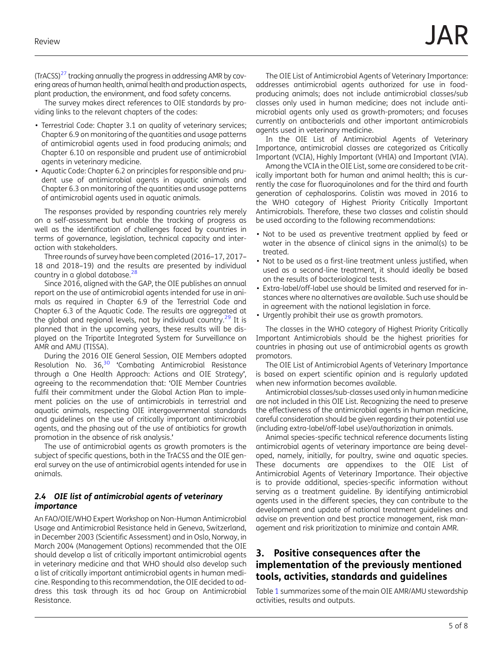(TrACSS)<sup>27</sup> tracking annually the progress in addressing AMR by covering areas of human health, animal health and production aspects, plant production, the environment, and food safety concerns.

The survey makes direct references to OIE standards by providing links to the relevant chapters of the codes:

- Terrestrial Code: Chapter 3.1 on quality of veterinary services; Chapter 6.9 on monitoring of the quantities and usage patterns of antimicrobial agents used in food producing animals; and Chapter 6.10 on responsible and prudent use of antimicrobial agents in veterinary medicine.
- Aquatic Code: Chapter 6.2 on principles for responsible and prudent use of antimicrobial agents in aquatic animals and Chapter 6.3 on monitoring of the quantities and usage patterns of antimicrobial agents used in aquatic animals.

The responses provided by responding countries rely merely on a self-assessment but enable the tracking of progress as well as the identification of challenges faced by countries in terms of governance, legislation, technical capacity and interaction with stakeholders.

Three rounds of survey have been completed (2016–17, 2017– 18 and 2018–19) and the results are presented by individual country in a global database.<sup>28</sup>

Since 2016, aligned with the GAP, the OIE publishes an annual report on the use of antimicrobial agents intended for use in animals as required in Chapter 6.9 of the Terrestrial Code and Chapter 6.3 of the Aquatic Code. The results are aggregated at the global and regional levels, not by individual country. $^{29}$  It is planned that in the upcoming years, these results will be displayed on the Tripartite Integrated System for Surveillance on AMR and AMU (TISSA).

During the 2016 OIE General Session, OIE Members adopted Resolution No.  $36<sup>30</sup>$  'Combating Antimicrobial Resistance through a One Health Approach: Actions and OIE Strategy', agreeing to the recommendation that: 'OIE Member Countries fulfil their commitment under the Global Action Plan to implement policies on the use of antimicrobials in terrestrial and aquatic animals, respecting OIE intergovernmental standards and guidelines on the use of critically important antimicrobial agents, and the phasing out of the use of antibiotics for growth promotion in the absence of risk analysis.'

The use of antimicrobial agents as growth promoters is the subject of specific questions, both in the TrACSS and the OIE general survey on the use of antimicrobial agents intended for use in animals.

#### 2.4 OIE list of antimicrobial agents of veterinary importance

An FAO/OIE/WHO Expert Workshop on Non-Human Antimicrobial Usage and Antimicrobial Resistance held in Geneva, Switzerland, in December 2003 (Scientific Assessment) and in Oslo, Norway, in March 2004 (Management Options) recommended that the OIE should develop a list of critically important antimicrobial agents in veterinary medicine and that WHO should also develop such a list of critically important antimicrobial agents in human medicine. Responding to this recommendation, the OIE decided to address this task through its ad hoc Group on Antimicrobial Resistance.

The OIE List of Antimicrobial Agents of Veterinary Importance: addresses antimicrobial agents authorized for use in foodproducing animals; does not include antimicrobial classes/sub classes only used in human medicine; does not include antimicrobial agents only used as growth-promoters; and focuses currently on antibacterials and other important antimicrobials agents used in veterinary medicine.

In the OIE List of Antimicrobial Agents of Veterinary Importance, antimicrobial classes are categorized as Critically Important (VCIA), Highly Important (VHIA) and Important (VIA).

Among the VCIA in the OIE List, some are considered to be critically important both for human and animal health; this is currently the case for fluoroquinolones and for the third and fourth generation of cephalosporins. Colistin was moved in 2016 to the WHO category of Highest Priority Critically Important Antimicrobials. Therefore, these two classes and colistin should be used according to the following recommendations:

- Not to be used as preventive treatment applied by feed or water in the absence of clinical signs in the animal(s) to be treated.
- Not to be used as a first-line treatment unless justified, when used as a second-line treatment, it should ideally be based on the results of bacteriological tests.
- Extra-label/off-label use should be limited and reserved for instances where no alternatives are available. Such use should be in agreement with the national legislation in force.
- Urgently prohibit their use as growth promotors.

The classes in the WHO category of Highest Priority Critically Important Antimicrobials should be the highest priorities for countries in phasing out use of antimicrobial agents as growth promotors.

The OIE List of Antimicrobial Agents of Veterinary Importance is based on expert scientific opinion and is regularly updated when new information becomes available.

Antimicrobial classes/sub-classes used only in human medicine are not included in this OIE List. Recognizing the need to preserve the effectiveness of the antimicrobial agents in human medicine, careful consideration should be given regarding their potential use (including extra-label/off-label use)/authorization in animals.

Animal species-specific technical reference documents listing antimicrobial agents of veterinary importance are being developed, namely, initially, for poultry, swine and aquatic species. These documents are appendixes to the OIE List of Antimicrobial Agents of Veterinary Importance. Their objective is to provide additional, species-specific information without serving as a treatment guideline. By identifying antimicrobial agents used in the different species, they can contribute to the development and update of national treatment guidelines and advise on prevention and best practice management, risk management and risk prioritization to minimize and contain AMR.

## 3. Positive consequences after the implementation of the previously mentioned tools, activities, standards and guidelines

Table 1 summarizes some of the main OIE AMR/AMU stewardship activities, results and outputs.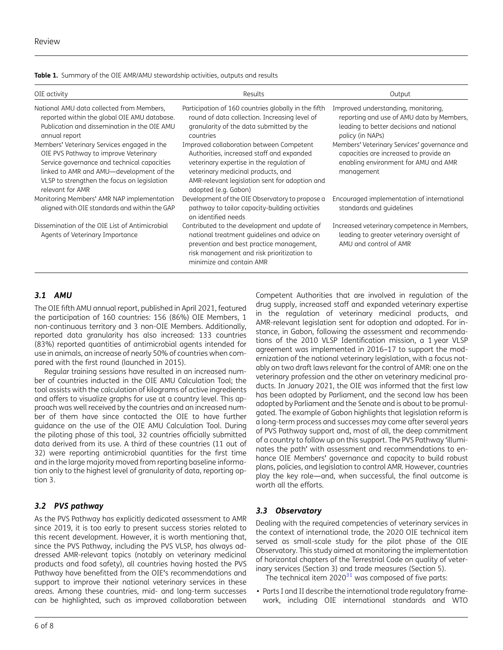| OIE activity                                                                                                                                                                                                                                       | Results                                                                                                                                                                                                                                            | Output                                                                                                                                           |
|----------------------------------------------------------------------------------------------------------------------------------------------------------------------------------------------------------------------------------------------------|----------------------------------------------------------------------------------------------------------------------------------------------------------------------------------------------------------------------------------------------------|--------------------------------------------------------------------------------------------------------------------------------------------------|
| National AMU data collected from Members,<br>reported within the global OIE AMU database.<br>Publication and dissemination in the OIE AMU<br>annual report                                                                                         | Participation of 160 countries globally in the fifth<br>round of data collection. Increasing level of<br>granularity of the data submitted by the<br>countries                                                                                     | Improved understanding, monitoring,<br>reporting and use of AMU data by Members,<br>leading to better decisions and national<br>policy (in NAPs) |
| Members' Veterinary Services engaged in the<br>OIE PVS Pathway to improve Veterinary<br>Service governance and technical capacities<br>linked to AMR and AMU—development of the<br>VLSP to strengthen the focus on legislation<br>relevant for AMR | Improved collaboration between Competent<br>Authorities, increased staff and expanded<br>veterinary expertise in the regulation of<br>veterinary medicinal products, and<br>AMR-relevant legislation sent for adoption and<br>adopted (e.g. Gabon) | Members' Veterinary Services' governance and<br>capacities are increased to provide an<br>enabling environment for AMU and AMR<br>management     |
| Monitoring Members' AMR NAP implementation<br>aligned with OIE standards and within the GAP                                                                                                                                                        | Development of the OIE Observatory to propose a<br>pathway to tailor capacity-building activities<br>on identified needs                                                                                                                           | Encouraged implementation of international<br>standards and guidelines                                                                           |
| Dissemination of the OIE List of Antimicrobial<br>Agents of Veterinary Importance                                                                                                                                                                  | Contributed to the development and update of<br>national treatment quidelines and advice on<br>prevention and best practice management,<br>risk management and risk prioritization to<br>minimize and contain AMR                                  | Increased veterinary competence in Members,<br>leading to greater veterinary oversight of<br>AMU and control of AMR                              |

Table 1. Summary of the OIE AMR/AMU stewardship activities, outputs and results

#### 3.1 AMU

The OIE fifth AMU annual report, published in April 2021, featured the participation of 160 countries: 156 (86%) OIE Members, 1 non-continuous territory and 3 non-OIE Members. Additionally, reported data granularity has also increased: 133 countries (83%) reported quantities of antimicrobial agents intended for use in animals, an increase of nearly 50% of countries when compared with the first round (launched in 2015).

Regular training sessions have resulted in an increased number of countries inducted in the OIE AMU Calculation Tool; the tool assists with the calculation of kilograms of active ingredients and offers to visualize graphs for use at a country level. This approach was well received by the countries and an increased number of them have since contacted the OIE to have further guidance on the use of the OIE AMU Calculation Tool. During the piloting phase of this tool, 32 countries officially submitted data derived from its use. A third of these countries (11 out of 32) were reporting antimicrobial quantities for the first time and in the large majority moved from reporting baseline information only to the highest level of granularity of data, reporting option 3.

#### 3.2 PVS pathway

As the PVS Pathway has explicitly dedicated assessment to AMR since 2019, it is too early to present success stories related to this recent development. However, it is worth mentioning that, since the PVS Pathway, including the PVS VLSP, has always addressed AMR-relevant topics (notably on veterinary medicinal products and food safety), all countries having hosted the PVS Pathway have benefitted from the OIE's recommendations and support to improve their national veterinary services in these areas. Among these countries, mid- and long-term successes can be highlighted, such as improved collaboration between

drug supply, increased staff and expanded veterinary expertise in the regulation of veterinary medicinal products, and AMR-relevant legislation sent for adoption and adopted. For instance, in Gabon, following the assessment and recommendations of the 2010 VLSP Identification mission, a 1 year VLSP agreement was implemented in 2016–17 to support the modernization of the national veterinary legislation, with a focus notably on two draft laws relevant for the control of AMR: one on the veterinary profession and the other on veterinary medicinal products. In January 2021, the OIE was informed that the first law has been adopted by Parliament, and the second law has been adopted by Parliament and the Senate and is about to be promulgated. The example of Gabon highlights that legislation reform is a long-term process and successes may come after several years of PVS Pathway support and, most of all, the deep commitment of a country to follow up on this support. The PVS Pathway 'illuminates the path' with assessment and recommendations to enhance OIE Members' governance and capacity to build robust plans, policies, and legislation to control AMR. However, countries play the key role—and, when successful, the final outcome is worth all the efforts.

Competent Authorities that are involved in regulation of the

#### 3.3 Observatory

Dealing with the required competencies of veterinary services in the context of international trade, the 2020 OIE technical item served as small-scale study for the pilot phase of the OIE Observatory. This study aimed at monitoring the implementation of horizontal chapters of the Terrestrial Code on quality of veterinary services (Section 3) and trade measures (Section 5).

The technical item  $2020^{31}$  was composed of five parts:

• Parts I and II describe the international trade regulatory framework, including OIE international standards and WTO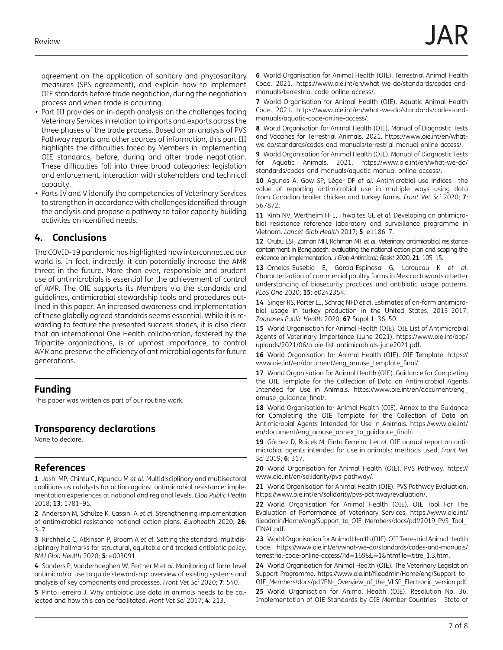agreement on the application of sanitary and phytosanitary measures (SPS agreement), and explain how to implement OIE standards before trade negotiation, during the negotiation process and when trade is occurring.

- Part III provides an in-depth analysis on the challenges facing Veterinary Services in relation to imports and exports across the three phases of the trade process. Based on an analysis of PVS Pathway reports and other sources of information, this part III highlights the difficulties faced by Members in implementing OIE standards, before, during and after trade negotiation. These difficulties fall into three broad categories: legislation and enforcement, interaction with stakeholders and technical capacity.
- Parts IV and V identify the competencies of Veterinary Services to strengthen in accordance with challenges identified through the analysis and propose a pathway to tailor capacity building activities on identified needs.

## 4. Conclusions

The COVID-19 pandemic has highlighted how interconnected our world is. In fact, indirectly, it can potentially increase the AMR threat in the future. More than ever, responsible and prudent use of antimicrobials is essential for the achievement of control of AMR. The OIE supports its Members via the standards and guidelines, antimicrobial stewardship tools and procedures outlined in this paper. An increased awareness and implementation of these globally agreed standards seems essential. While it is rewarding to feature the presented success stories, it is also clear that an international One Health collaboration, fostered by the Tripartite organizations, is of upmost importance, to control AMR and preserve the efficiency of antimicrobial agents for future generations.

## Funding

This paper was written as part of our routine work.

## Transparency declarations

None to declare.

## References

1 Joshi MP, Chintu C, Mpundu M et al. Multidisciplinary and multisectoral coalitions as catalysts for action against antimicrobial resistance: implementation experiences at national and regional levels. Glob Public Health 2018; 13: 1781–95.

2 Anderson M, Schulze K, Cassini A et al. Strengthening implementation of antimicrobial resistance national action plans. Eurohealth 2020; 26:  $3 - 7$ .

3 Kirchhelle C, Atkinson P, Broom A et al. Setting the standard: multidisciplinary hallmarks for structural, equitable and tracked antibiotic policy. BMJ Glob Health 2020; 5: e003091.

4 Sanders P, Vanderhaeghen W, Fertner M et al. Monitoring of farm-level antimicrobial use to guide stewardship: overview of existing systems and analysis of key components and processes. Front Vet Sci 2020; 7: 540.

5 Pinto Ferreira J. Why antibiotic use data in animals needs to be collected and how this can be facilitated. Front Vet Sci 2017; 4: 213.

6 World Organisation for Animal Health (OIE). Terrestrial Animal Health Code. 2021. [https://www.oie.int/en/what-we-do/standards/codes-and](https://www.oie.int/en/what-we-do/standards/codes-and-manuals/terrestrial-code-online-access/)[manuals/terrestrial-code-online-access/.](https://www.oie.int/en/what-we-do/standards/codes-and-manuals/terrestrial-code-online-access/)

7 World Organisation for Animal Health (OIE). Aquatic Animal Health Code. 2021. [https://www.oie.int/en/what-we-do/standards/codes-and](https://www.oie.int/en/what-we-do/standards/codes-and-manuals/aquatic-code-online-access/)[manuals/aquatic-code-online-access/](https://www.oie.int/en/what-we-do/standards/codes-and-manuals/aquatic-code-online-access/).

8 World Organisation for Animal Health (OIE). Manual of Diagnostic Tests and Vaccines for Terrestrial Animals. 2021. [https://www.oie.int/en/what](https://www.oie.int/en/what-we-do/standards/codes-and-manuals/terrestrial-manual-online-access/)[we-do/standards/codes-and-manuals/terrestrial-manual-online-access/.](https://www.oie.int/en/what-we-do/standards/codes-and-manuals/terrestrial-manual-online-access/)

9 World Organisation for Animal Health (OIE). Manual of Diagnostic Tests for Aquatic Animals. 2021. [https://www.oie.int/en/what-we-do/](https://www.oie.int/en/what-we-do/standards/codes-and-manuals/aquatic-manual-online-access/) [standards/codes-and-manuals/aquatic-manual-online-access/.](https://www.oie.int/en/what-we-do/standards/codes-and-manuals/aquatic-manual-online-access/)

10 Agunos A, Gow SP, Léger DF et al. Antimicrobial use indices—the value of reporting antimicrobial use in multiple ways using data from Canadian broiler chicken and turkey farms. Front Vet Sci 2020; 7: 567872.

11 Kinh NV, Wertheim HFL, Thwaites GE et al. Developing an antimicrobial resistance reference laboratory and surveillance programme in Vietnam. Lancet Glob Health 2017; 5: e1186–7.

12 Orubu ESF, Zaman MH, Rahman MT et al. Veterinary antimicrobial resistance containment in Bangladesh: evaluating the national action plan and scoping the evidence on implementation. J Glob Antimicrob Resist 2020; 21: 105–15.

13 Ornelas-Eusebio E, García-Espinosa G, Laroucau K et al. Characterization of commercial poultry farms in Mexico: towards a better understanding of biosecurity practices and antibiotic usage patterns. PLoS One 2020; 15: e0242354.

14 Singer RS, Porter LJ, Schrag NFD et al. Estimates of on-farm antimicrobial usage in turkey production in the United States, 2013–2017. Zoonoses Public Health 2020; 67 Suppl 1: 36–50.

15 World Organisation for Animal Health (OIE). OIE List of Antimicrobial Agents of Veterinary Importance (June 2021). [https://www.oie.int/app/](https://www.oie.int/app/uploads/2021/06/a-oie-list-antimicrobials-june2021.pdf) [uploads/2021/06/a-oie-list-antimicrobials-june2021.pdf](https://www.oie.int/app/uploads/2021/06/a-oie-list-antimicrobials-june2021.pdf).

16 World Organisation for Animal Health (OIE). OIE Template. [https://](https://www.oie.int/en/document/eng_amuse_template_final/) [www.oie.int/en/document/eng\\_amuse\\_template\\_](https://www.oie.int/en/document/eng_amuse_template_final/)final/.

17 World Organisation for Animal Health (OIE). Guidance for Completing the OIE Template for the Collection of Data on Antimicrobial Agents Intended for Use in Animals. [https://www.oie.int/en/document/eng\\_](https://www.oie.int/en/document/eng_amuse_guidance_final/) [amuse\\_guidance\\_](https://www.oie.int/en/document/eng_amuse_guidance_final/)final/.

18 World Organisation for Animal Health (OIE). Annex to the Guidance for Completing the OIE Template for the Collection of Data on Antimicrobial Agents Intended for Use in Animals. [https://www.oie.int/](https://www.oie.int/en/document/eng_amuse_annex_to_guidance_final/) [en/document/eng\\_amuse\\_annex\\_to\\_guidance\\_](https://www.oie.int/en/document/eng_amuse_annex_to_guidance_final/)final/.

19 Góchez D, Raicek M, Pinto Ferreira J et al. OIE annual report on antimicrobial agents intended for use in animals: methods used. Front Vet Sci 2019; 6: 317.

20 World Organisation for Animal Health (OIE). PVS Pathway. [https://](https://www.oie.int/en/solidarity/pvs-pathway/) [www.oie.int/en/solidarity/pvs-pathway/](https://www.oie.int/en/solidarity/pvs-pathway/).

21 World Organisation for Animal Health (OIE). PVS Pathway Evaluation. <https://www.oie.int/en/solidarity/pvs-pathway/evaluation/>.

22 World Organisation for Animal Health (OIE). OIE Tool For The Evaluation of Performance of Veterinary Services. [https://www.oie.int/](https://www.oie.int/fileadmin/Home/eng/Support_to_OIE_Members/docs/pdf/2019_PVS_Tool_FINAL.pdf) fileadmin/Home/eng/Support\_to\_OIE\_Members/docs/pdf/2019\_PVS\_Tool [FINAL.pdf](https://www.oie.int/fileadmin/Home/eng/Support_to_OIE_Members/docs/pdf/2019_PVS_Tool_FINAL.pdf).

23 World Organisation for Animal Health (OIE). OIE Terrestrial Animal Health Code. [https://www.oie.int/en/what-we-do/standards/codes-and-manuals/](https://www.oie.int/en/what-we-do/standards/codes-and-manuals/terrestrial-code-online-access/?id=169&L=1&htmfile=titre_1.3.htm) [terrestrial-code-online-access/?id](https://www.oie.int/en/what-we-do/standards/codes-and-manuals/terrestrial-code-online-access/?id=169&L=1&htmfile=titre_1.3.htm)=169&L=1&htmfile=titre\_1.3.htm.

24 World Organisation for Animal Health (OIE). The Veterinary Legislation Support Programme. https://www.oie.int/fi[leadmin/Home/eng/Support\\_to\\_](https://www.oie.int/fileadmin/Home/eng/Support_to_OIE_Members/docs/pdf/EN-_Overview_of_the_VLSP_Electronic_version.pdf) [OIE\\_Members/docs/pdf/EN-\\_Overview\\_of\\_the\\_VLSP\\_Electronic\\_version.pdf.](https://www.oie.int/fileadmin/Home/eng/Support_to_OIE_Members/docs/pdf/EN-_Overview_of_the_VLSP_Electronic_version.pdf)

25 World Organisation for Animal Health (OIE). Resolution No. 36: Implementation of OIE Standards by OIE Member Countries – State of